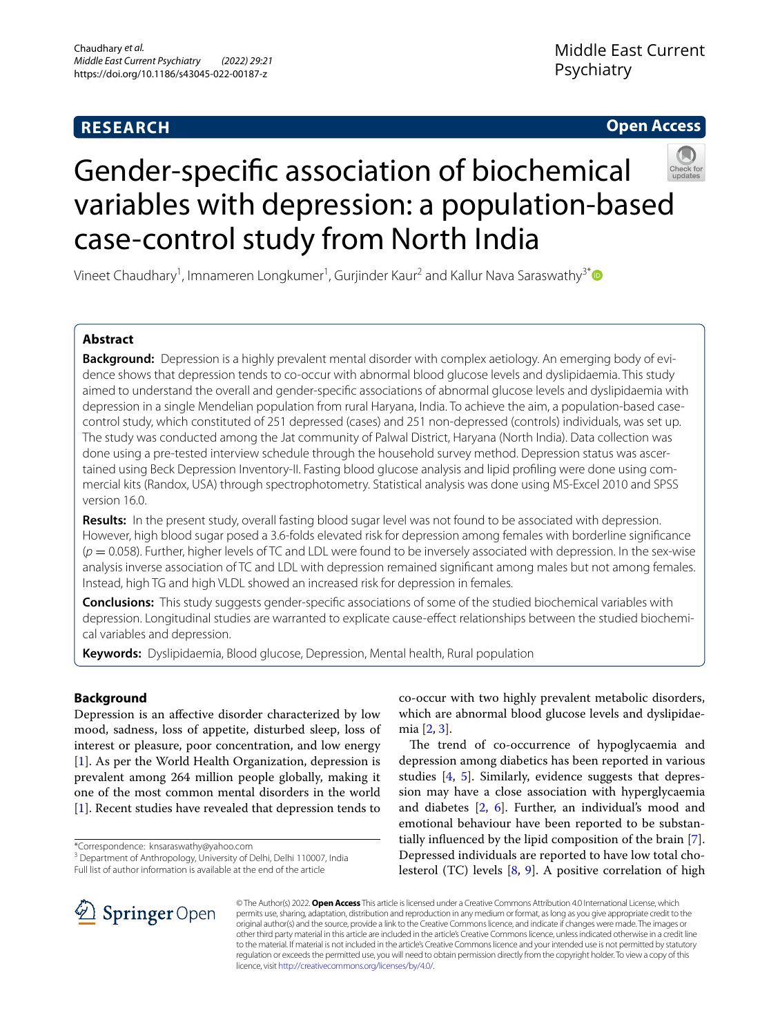# **RESEARCH**

# **Open Access**



# Gender-specifc association of biochemical variables with depression: a population-based case-control study from North India

Vineet Chaudhary<sup>1</sup>, Imnameren Longkumer<sup>1</sup>, Gurjinder Kaur<sup>2</sup> and Kallur Nava Saraswathy<sup>3[\\*](http://orcid.org/0000-0002-0826-9675)</sup>

# **Abstract**

**Background:** Depression is a highly prevalent mental disorder with complex aetiology. An emerging body of evidence shows that depression tends to co-occur with abnormal blood glucose levels and dyslipidaemia. This study aimed to understand the overall and gender-specifc associations of abnormal glucose levels and dyslipidaemia with depression in a single Mendelian population from rural Haryana, India. To achieve the aim, a population-based casecontrol study, which constituted of 251 depressed (cases) and 251 non-depressed (controls) individuals, was set up. The study was conducted among the Jat community of Palwal District, Haryana (North India). Data collection was done using a pre-tested interview schedule through the household survey method. Depression status was ascertained using Beck Depression Inventory-II. Fasting blood glucose analysis and lipid profling were done using commercial kits (Randox, USA) through spectrophotometry. Statistical analysis was done using MS-Excel 2010 and SPSS version 16.0.

**Results:** In the present study, overall fasting blood sugar level was not found to be associated with depression. However, high blood sugar posed a 3.6-folds elevated risk for depression among females with borderline signifcance (*p* = 0.058). Further, higher levels of TC and LDL were found to be inversely associated with depression. In the sex-wise analysis inverse association of TC and LDL with depression remained signifcant among males but not among females. Instead, high TG and high VLDL showed an increased risk for depression in females.

**Conclusions:** This study suggests gender-specifc associations of some of the studied biochemical variables with depression. Longitudinal studies are warranted to explicate cause-efect relationships between the studied biochemical variables and depression.

**Keywords:** Dyslipidaemia, Blood glucose, Depression, Mental health, Rural population

# **Background**

Depression is an afective disorder characterized by low mood, sadness, loss of appetite, disturbed sleep, loss of interest or pleasure, poor concentration, and low energy [[1\]](#page-5-0). As per the World Health Organization, depression is prevalent among 264 million people globally, making it one of the most common mental disorders in the world [[1\]](#page-5-0). Recent studies have revealed that depression tends to

<sup>3</sup> Department of Anthropology, University of Delhi, Delhi 110007, India Full list of author information is available at the end of the article

co-occur with two highly prevalent metabolic disorders, which are abnormal blood glucose levels and dyslipidaemia [[2,](#page-5-1) [3\]](#page-5-2).

The trend of co-occurrence of hypoglycaemia and depression among diabetics has been reported in various studies [[4,](#page-5-3) [5\]](#page-5-4). Similarly, evidence suggests that depression may have a close association with hyperglycaemia and diabetes [[2,](#page-5-1) [6\]](#page-6-0). Further, an individual's mood and emotional behaviour have been reported to be substantially infuenced by the lipid composition of the brain [\[7](#page-6-1)]. Depressed individuals are reported to have low total cholesterol (TC) levels [\[8](#page-6-2), [9\]](#page-6-3). A positive correlation of high



© The Author(s) 2022. **Open Access** This article is licensed under a Creative Commons Attribution 4.0 International License, which permits use, sharing, adaptation, distribution and reproduction in any medium or format, as long as you give appropriate credit to the original author(s) and the source, provide a link to the Creative Commons licence, and indicate if changes were made. The images or other third party material in this article are included in the article's Creative Commons licence, unless indicated otherwise in a credit line to the material. If material is not included in the article's Creative Commons licence and your intended use is not permitted by statutory regulation or exceeds the permitted use, you will need to obtain permission directly from the copyright holder. To view a copy of this licence, visit [http://creativecommons.org/licenses/by/4.0/.](http://creativecommons.org/licenses/by/4.0/)

<sup>\*</sup>Correspondence: knsaraswathy@yahoo.com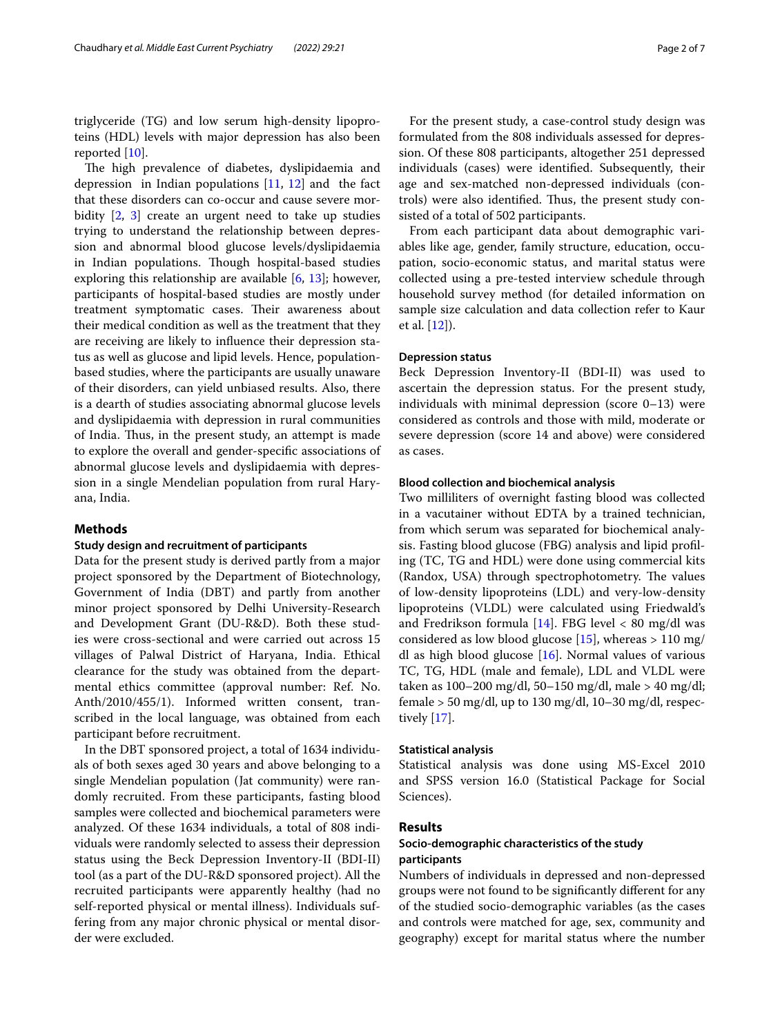triglyceride (TG) and low serum high-density lipoproteins (HDL) levels with major depression has also been reported [[10\]](#page-6-4).

The high prevalence of diabetes, dyslipidaemia and depression in Indian populations  $[11, 12]$  $[11, 12]$  $[11, 12]$  $[11, 12]$  and the fact that these disorders can co-occur and cause severe morbidity [[2,](#page-5-1) [3\]](#page-5-2) create an urgent need to take up studies trying to understand the relationship between depression and abnormal blood glucose levels/dyslipidaemia in Indian populations. Though hospital-based studies exploring this relationship are available  $[6, 13]$  $[6, 13]$  $[6, 13]$  $[6, 13]$ ; however, participants of hospital-based studies are mostly under treatment symptomatic cases. Their awareness about their medical condition as well as the treatment that they are receiving are likely to infuence their depression status as well as glucose and lipid levels. Hence, populationbased studies, where the participants are usually unaware of their disorders, can yield unbiased results. Also, there is a dearth of studies associating abnormal glucose levels and dyslipidaemia with depression in rural communities of India. Thus, in the present study, an attempt is made to explore the overall and gender-specifc associations of abnormal glucose levels and dyslipidaemia with depression in a single Mendelian population from rural Haryana, India.

## **Methods**

#### **Study design and recruitment of participants**

Data for the present study is derived partly from a major project sponsored by the Department of Biotechnology, Government of India (DBT) and partly from another minor project sponsored by Delhi University-Research and Development Grant (DU-R&D). Both these studies were cross-sectional and were carried out across 15 villages of Palwal District of Haryana, India. Ethical clearance for the study was obtained from the departmental ethics committee (approval number: Ref. No. Anth/2010/455/1). Informed written consent, transcribed in the local language, was obtained from each participant before recruitment.

In the DBT sponsored project, a total of 1634 individuals of both sexes aged 30 years and above belonging to a single Mendelian population (Jat community) were randomly recruited. From these participants, fasting blood samples were collected and biochemical parameters were analyzed. Of these 1634 individuals, a total of 808 individuals were randomly selected to assess their depression status using the Beck Depression Inventory-II (BDI-II) tool (as a part of the DU-R&D sponsored project). All the recruited participants were apparently healthy (had no self-reported physical or mental illness). Individuals suffering from any major chronic physical or mental disorder were excluded.

For the present study, a case-control study design was formulated from the 808 individuals assessed for depression. Of these 808 participants, altogether 251 depressed individuals (cases) were identifed. Subsequently, their age and sex-matched non-depressed individuals (controls) were also identified. Thus, the present study consisted of a total of 502 participants.

From each participant data about demographic variables like age, gender, family structure, education, occupation, socio-economic status, and marital status were collected using a pre-tested interview schedule through household survey method (for detailed information on sample size calculation and data collection refer to Kaur et al. [[12](#page-6-6)]).

#### **Depression status**

Beck Depression Inventory-II (BDI-II) was used to ascertain the depression status. For the present study, individuals with minimal depression (score 0–13) were considered as controls and those with mild, moderate or severe depression (score 14 and above) were considered as cases.

## **Blood collection and biochemical analysis**

Two milliliters of overnight fasting blood was collected in a vacutainer without EDTA by a trained technician, from which serum was separated for biochemical analysis. Fasting blood glucose (FBG) analysis and lipid profling (TC, TG and HDL) were done using commercial kits (Randox, USA) through spectrophotometry. The values of low-density lipoproteins (LDL) and very-low-density lipoproteins (VLDL) were calculated using Friedwald's and Fredrikson formula [\[14](#page-6-8)]. FBG level  $< 80$  mg/dl was considered as low blood glucose [[15\]](#page-6-9), whereas  $> 110 \text{ mg}/$ dl as high blood glucose [\[16\]](#page-6-10). Normal values of various TC, TG, HDL (male and female), LDL and VLDL were taken as 100–200 mg/dl, 50–150 mg/dl, male > 40 mg/dl; female  $>$  50 mg/dl, up to 130 mg/dl, 10–30 mg/dl, respectively [\[17\]](#page-6-11).

#### **Statistical analysis**

Statistical analysis was done using MS-Excel 2010 and SPSS version 16.0 (Statistical Package for Social Sciences).

#### **Results**

## **Socio‑demographic characteristics of the study participants**

Numbers of individuals in depressed and non-depressed groups were not found to be signifcantly diferent for any of the studied socio-demographic variables (as the cases and controls were matched for age, sex, community and geography) except for marital status where the number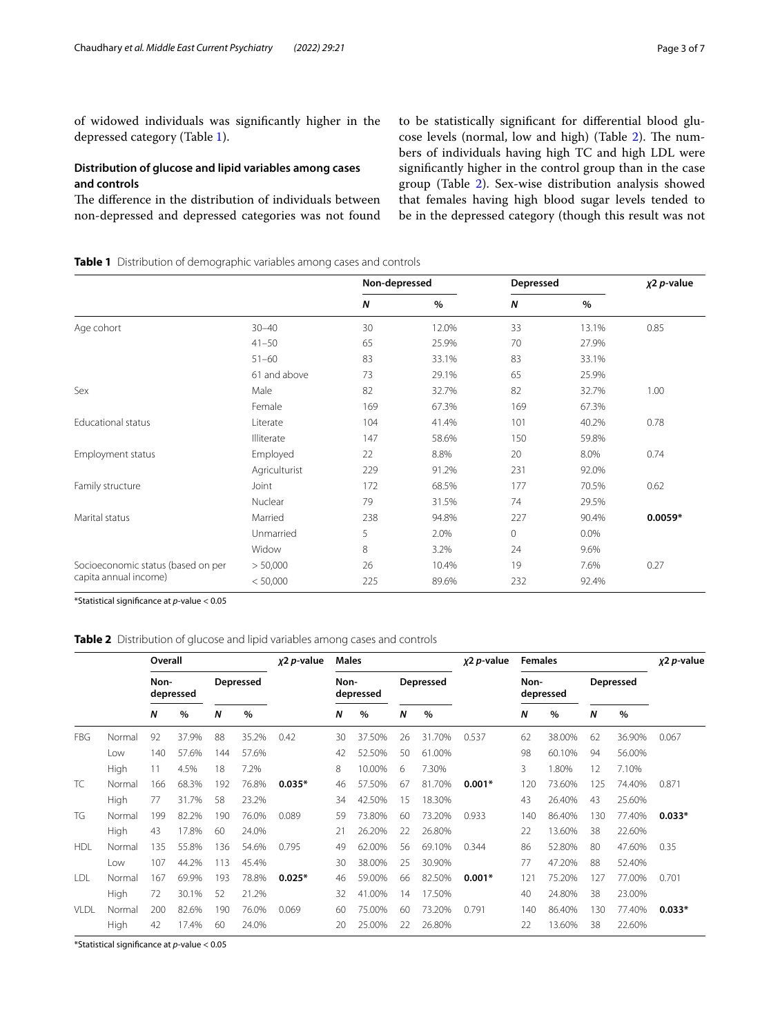of widowed individuals was signifcantly higher in the depressed category (Table [1\)](#page-2-0).

# **Distribution of glucose and lipid variables among cases and controls**

The difference in the distribution of individuals between non-depressed and depressed categories was not found to be statistically signifcant for diferential blood glu-cose levels (normal, low and high) (Table [2\)](#page-2-1). The numbers of individuals having high TC and high LDL were signifcantly higher in the control group than in the case group (Table [2](#page-2-1)). Sex-wise distribution analysis showed that females having high blood sugar levels tended to be in the depressed category (though this result was not

<span id="page-2-0"></span>**Table 1** Distribution of demographic variables among cases and controls

|                                    |               | Non-depressed |       | Depressed | $x^2$ p-value |           |
|------------------------------------|---------------|---------------|-------|-----------|---------------|-----------|
|                                    |               | N             | $\%$  | N         | $\%$          |           |
| Age cohort                         | $30 - 40$     | 30            | 12.0% | 33        | 13.1%         | 0.85      |
|                                    | $41 - 50$     | 65            | 25.9% | 70        | 27.9%         |           |
|                                    | $51 - 60$     | 83            | 33.1% | 83        | 33.1%         |           |
|                                    | 61 and above  | 73            | 29.1% | 65        | 25.9%         |           |
| Sex                                | Male          | 82            | 32.7% | 82        | 32.7%         | 1.00      |
|                                    | Female        | 169           | 67.3% | 169       | 67.3%         |           |
| Educational status                 | Literate      | 104           | 41.4% | 101       | 40.2%         | 0.78      |
|                                    | Illiterate    | 147           | 58.6% | 150       | 59.8%         |           |
| Employment status                  | Employed      | 22            | 8.8%  | 20        | 8.0%          | 0.74      |
|                                    | Agriculturist | 229           | 91.2% | 231       | 92.0%         |           |
| Family structure                   | Joint         | 172           | 68.5% | 177       | 70.5%         | 0.62      |
|                                    | Nuclear       | 79            | 31.5% | 74        | 29.5%         |           |
| Marital status                     | Married       | 238           | 94.8% | 227       | 90.4%         | $0.0059*$ |
|                                    | Unmarried     | 5             | 2.0%  | 0         | $0.0\%$       |           |
|                                    | Widow         | 8             | 3.2%  | 24        | 9.6%          |           |
| Socioeconomic status (based on per | > 50,000      | 26            | 10.4% | 19        | 7.6%          | 0.27      |
| capita annual income)              | < 50,000      | 225           | 89.6% | 232       | 92.4%         |           |

\*Statistical signifcance at *p-*value < 0.05

## <span id="page-2-1"></span>**Table 2** Distribution of glucose and lipid variables among cases and controls

|             |        | Overall           |       | $x2 p$ -value | <b>Males</b> |          |                   |        | x2 p-value | <b>Females</b> |          |                   | $x^2 p$ -value |                  |        |          |
|-------------|--------|-------------------|-------|---------------|--------------|----------|-------------------|--------|------------|----------------|----------|-------------------|----------------|------------------|--------|----------|
|             |        | Non-<br>depressed |       |               | Depressed    |          | Non-<br>depressed |        | Depressed  |                |          | Non-<br>depressed |                | <b>Depressed</b> |        |          |
|             |        | N                 | $\%$  | Ν             | $\%$         |          | N                 | %      | N          | $\%$           |          | Ν                 | $\%$           | N                | %      |          |
| FBG.        | Normal | 92                | 37.9% | 88            | 35.2%        | 0.42     | 30                | 37.50% | 26         | 31.70%         | 0.537    | 62                | 38.00%         | 62               | 36.90% | 0.067    |
|             | Low    | 140               | 57.6% | 144           | 57.6%        |          | 42                | 52.50% | 50         | 61.00%         |          | 98                | 60.10%         | 94               | 56.00% |          |
|             | High   | 11                | 4.5%  | 18            | 7.2%         |          | 8                 | 10.00% | 6          | 7.30%          |          | 3                 | 1.80%          | 12               | 7.10%  |          |
| TC.         | Normal | 166               | 68.3% | 192           | 76.8%        | $0.035*$ | 46                | 57.50% | 67         | 81.70%         | $0.001*$ | 120               | 73.60%         | 125              | 74.40% | 0.871    |
|             | High   | 77                | 31.7% | 58            | 23.2%        |          | 34                | 42.50% | 15         | 18.30%         |          | 43                | 26.40%         | 43               | 25.60% |          |
| TG          | Normal | 199               | 82.2% | 190           | 76.0%        | 0.089    | 59                | 73.80% | 60         | 73.20%         | 0.933    | 140               | 86.40%         | 130              | 77.40% | $0.033*$ |
|             | High   | 43                | 17.8% | 60            | 24.0%        |          | 21                | 26.20% | 22         | 26.80%         |          | 22                | 13.60%         | 38               | 22.60% |          |
| <b>HDL</b>  | Normal | 135               | 55.8% | 136           | 54.6%        | 0.795    | 49                | 62.00% | 56         | 69.10%         | 0.344    | 86                | 52.80%         | 80               | 47.60% | 0.35     |
|             | Low    | 107               | 44.2% | 113           | 45.4%        |          | 30                | 38.00% | 25         | 30.90%         |          | 77                | 47.20%         | 88               | 52.40% |          |
| LDL         | Normal | 167               | 69.9% | 193           | 78.8%        | $0.025*$ | 46                | 59.00% | 66         | 82.50%         | $0.001*$ | 121               | 75.20%         | 127              | 77.00% | 0.701    |
|             | High   | 72                | 30.1% | 52            | 21.2%        |          | 32                | 41.00% | 14         | 17.50%         |          | 40                | 24.80%         | 38               | 23.00% |          |
| <b>VLDL</b> | Normal | 200               | 82.6% | 190           | 76.0%        | 0.069    | 60                | 75.00% | 60         | 73.20%         | 0.791    | 140               | 86.40%         | 130              | 77.40% | $0.033*$ |
|             | High   | 42                | 17.4% | 60            | 24.0%        |          | 20                | 25.00% | 22         | 26.80%         |          | 22                | 13.60%         | 38               | 22.60% |          |

\*Statistical signifcance at *p-*value < 0.05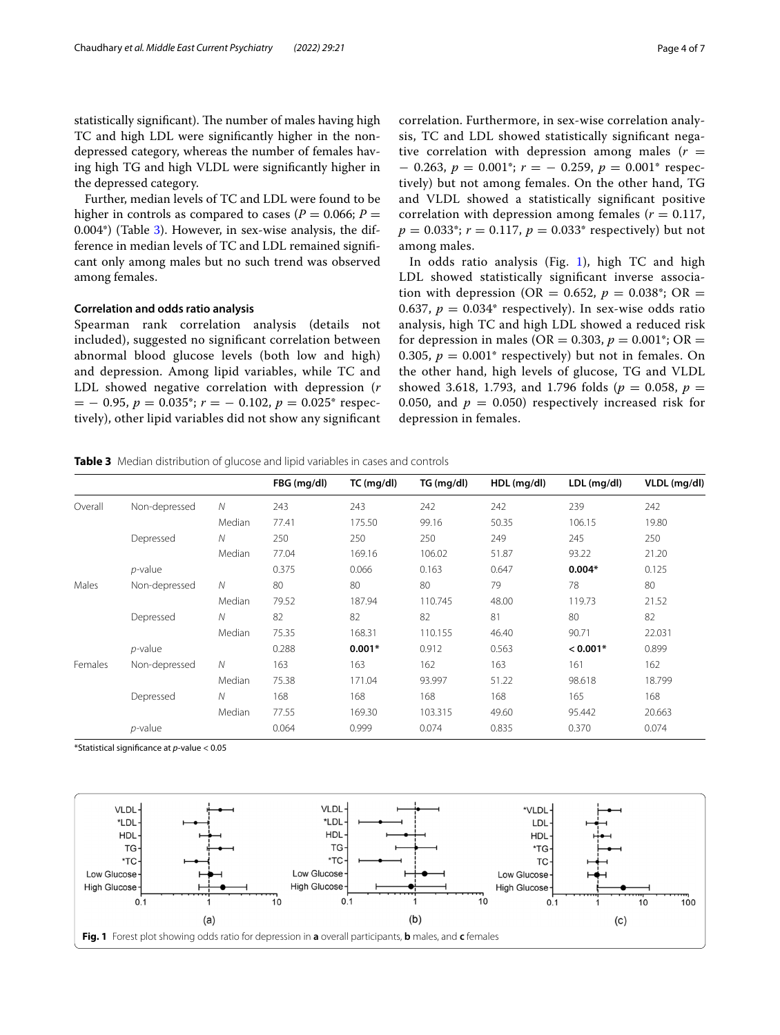statistically significant). The number of males having high TC and high LDL were signifcantly higher in the nondepressed category, whereas the number of females having high TG and high VLDL were signifcantly higher in the depressed category.

Further, median levels of TC and LDL were found to be higher in controls as compared to cases ( $P = 0.066$ ;  $P =$ 0.004\*) (Table [3](#page-3-0)). However, in sex-wise analysis, the difference in median levels of TC and LDL remained signifcant only among males but no such trend was observed among females.

#### **Correlation and odds ratio analysis**

Spearman rank correlation analysis (details not included), suggested no signifcant correlation between abnormal blood glucose levels (both low and high) and depression. Among lipid variables, while TC and LDL showed negative correlation with depression (*r* = − 0.95, *p* = 0.035\*; *r* = − 0.102, *p* = 0.025\* respectively), other lipid variables did not show any signifcant correlation. Furthermore, in sex-wise correlation analysis, TC and LDL showed statistically signifcant negative correlation with depression among males  $(r =$ − 0.263, *p* = 0.001\*; *r* = − 0.259, *p* = 0.001\* respectively) but not among females. On the other hand, TG and VLDL showed a statistically signifcant positive correlation with depression among females ( $r = 0.117$ ,  $p = 0.033$ <sup>\*</sup>;  $r = 0.117$ ,  $p = 0.033$ <sup>\*</sup> respectively) but not among males.

In odds ratio analysis (Fig.  $1$ ), high TC and high LDL showed statistically signifcant inverse association with depression (OR = 0.652,  $p = 0.038$ <sup>\*</sup>; OR = 0.637,  $p = 0.034$ <sup>\*</sup> respectively). In sex-wise odds ratio analysis, high TC and high LDL showed a reduced risk for depression in males (OR =  $0.303$ ,  $p = 0.001$ <sup>\*</sup>; OR = 0.305,  $p = 0.001$ <sup>\*</sup> respectively) but not in females. On the other hand, high levels of glucose, TG and VLDL showed 3.618, 1.793, and 1.796 folds ( $p = 0.058$ ,  $p =$ 0.050, and  $p = 0.050$  respectively increased risk for depression in females.

<span id="page-3-0"></span>**Table 3** Median distribution of glucose and lipid variables in cases and controls

|         |               |              | FBG (mg/dl) | $TC$ (mg/dl) | TG (mg/dl) | HDL (mg/dl) | LDL (mg/dl) | VLDL (mg/dl) |
|---------|---------------|--------------|-------------|--------------|------------|-------------|-------------|--------------|
| Overall | Non-depressed | $\mathcal N$ | 243         | 243          | 242        | 242         | 239         | 242          |
|         |               | Median       | 77.41       | 175.50       | 99.16      | 50.35       | 106.15      | 19.80        |
|         | Depressed     | $\mathcal N$ | 250         | 250          | 250        | 249         | 245         | 250          |
|         |               | Median       | 77.04       | 169.16       | 106.02     | 51.87       | 93.22       | 21.20        |
|         | $p$ -value    |              | 0.375       | 0.066        | 0.163      | 0.647       | $0.004*$    | 0.125        |
| Males   | Non-depressed | $\mathcal N$ | 80          | 80           | 80         | 79          | 78          | 80           |
|         |               | Median       | 79.52       | 187.94       | 110.745    | 48.00       | 119.73      | 21.52        |
|         | Depressed     | $\mathcal N$ | 82          | 82           | 82         | 81          | 80          | 82           |
|         |               | Median       | 75.35       | 168.31       | 110.155    | 46.40       | 90.71       | 22.031       |
|         | $p$ -value    |              | 0.288       | $0.001*$     | 0.912      | 0.563       | $< 0.001*$  | 0.899        |
| Females | Non-depressed | N            | 163         | 163          | 162        | 163         | 161         | 162          |
|         |               | Median       | 75.38       | 171.04       | 93.997     | 51.22       | 98.618      | 18.799       |
|         | Depressed     | $\mathcal N$ | 168         | 168          | 168        | 168         | 165         | 168          |
|         |               | Median       | 77.55       | 169.30       | 103.315    | 49.60       | 95.442      | 20.663       |
|         | $p$ -value    |              | 0.064       | 0.999        | 0.074      | 0.835       | 0.370       | 0.074        |

\*Statistical signifcance at *p-*value < 0.05

<span id="page-3-1"></span>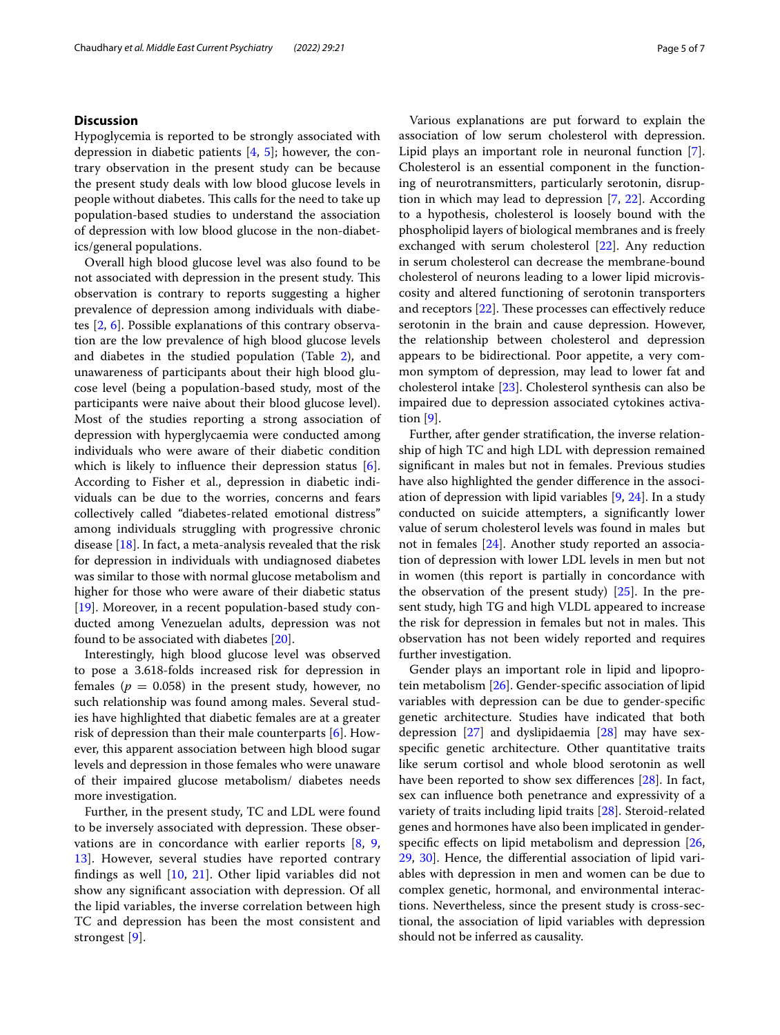## **Discussion**

Hypoglycemia is reported to be strongly associated with depression in diabetic patients [\[4](#page-5-3), [5\]](#page-5-4); however, the contrary observation in the present study can be because the present study deals with low blood glucose levels in people without diabetes. This calls for the need to take up population-based studies to understand the association of depression with low blood glucose in the non-diabetics/general populations.

Overall high blood glucose level was also found to be not associated with depression in the present study. This observation is contrary to reports suggesting a higher prevalence of depression among individuals with diabetes [\[2](#page-5-1), [6](#page-6-0)]. Possible explanations of this contrary observation are the low prevalence of high blood glucose levels and diabetes in the studied population (Table [2](#page-2-1)), and unawareness of participants about their high blood glucose level (being a population-based study, most of the participants were naive about their blood glucose level). Most of the studies reporting a strong association of depression with hyperglycaemia were conducted among individuals who were aware of their diabetic condition which is likely to influence their depression status [\[6](#page-6-0)]. According to Fisher et al., depression in diabetic individuals can be due to the worries, concerns and fears collectively called "diabetes-related emotional distress" among individuals struggling with progressive chronic disease  $[18]$  $[18]$ . In fact, a meta-analysis revealed that the risk for depression in individuals with undiagnosed diabetes was similar to those with normal glucose metabolism and higher for those who were aware of their diabetic status [[19\]](#page-6-13). Moreover, in a recent population-based study conducted among Venezuelan adults, depression was not found to be associated with diabetes [[20\]](#page-6-14).

Interestingly, high blood glucose level was observed to pose a 3.618-folds increased risk for depression in females ( $p = 0.058$ ) in the present study, however, no such relationship was found among males. Several studies have highlighted that diabetic females are at a greater risk of depression than their male counterparts [\[6](#page-6-0)]. However, this apparent association between high blood sugar levels and depression in those females who were unaware of their impaired glucose metabolism/ diabetes needs more investigation.

Further, in the present study, TC and LDL were found to be inversely associated with depression. These observations are in concordance with earlier reports [\[8,](#page-6-2) [9](#page-6-3), [13\]](#page-6-7). However, several studies have reported contrary findings as well  $[10, 21]$  $[10, 21]$  $[10, 21]$  $[10, 21]$ . Other lipid variables did not show any signifcant association with depression. Of all the lipid variables, the inverse correlation between high TC and depression has been the most consistent and strongest [[9\]](#page-6-3).

Various explanations are put forward to explain the association of low serum cholesterol with depression. Lipid plays an important role in neuronal function [\[7](#page-6-1)]. Cholesterol is an essential component in the functioning of neurotransmitters, particularly serotonin, disruption in which may lead to depression [[7,](#page-6-1) [22](#page-6-16)]. According to a hypothesis, cholesterol is loosely bound with the phospholipid layers of biological membranes and is freely exchanged with serum cholesterol [[22\]](#page-6-16). Any reduction in serum cholesterol can decrease the membrane-bound cholesterol of neurons leading to a lower lipid microviscosity and altered functioning of serotonin transporters and receptors  $[22]$  $[22]$ . These processes can effectively reduce serotonin in the brain and cause depression. However, the relationship between cholesterol and depression appears to be bidirectional. Poor appetite, a very common symptom of depression, may lead to lower fat and cholesterol intake [[23\]](#page-6-17). Cholesterol synthesis can also be impaired due to depression associated cytokines activation [[9\]](#page-6-3).

Further, after gender stratifcation, the inverse relationship of high TC and high LDL with depression remained signifcant in males but not in females. Previous studies have also highlighted the gender diference in the association of depression with lipid variables [[9,](#page-6-3) [24\]](#page-6-18). In a study conducted on suicide attempters, a signifcantly lower value of serum cholesterol levels was found in males but not in females [\[24](#page-6-18)]. Another study reported an association of depression with lower LDL levels in men but not in women (this report is partially in concordance with the observation of the present study) [[25\]](#page-6-19). In the present study, high TG and high VLDL appeared to increase the risk for depression in females but not in males. This observation has not been widely reported and requires further investigation.

Gender plays an important role in lipid and lipoprotein metabolism [[26](#page-6-20)]. Gender-specifc association of lipid variables with depression can be due to gender-specifc genetic architecture. Studies have indicated that both depression [[27\]](#page-6-21) and dyslipidaemia [[28\]](#page-6-22) may have sexspecifc genetic architecture. Other quantitative traits like serum cortisol and whole blood serotonin as well have been reported to show sex diferences [[28\]](#page-6-22). In fact, sex can infuence both penetrance and expressivity of a variety of traits including lipid traits [[28](#page-6-22)]. Steroid-related genes and hormones have also been implicated in gender-specific effects on lipid metabolism and depression [[26](#page-6-20), [29,](#page-6-23) [30](#page-6-24)]. Hence, the diferential association of lipid variables with depression in men and women can be due to complex genetic, hormonal, and environmental interactions. Nevertheless, since the present study is cross-sectional, the association of lipid variables with depression should not be inferred as causality.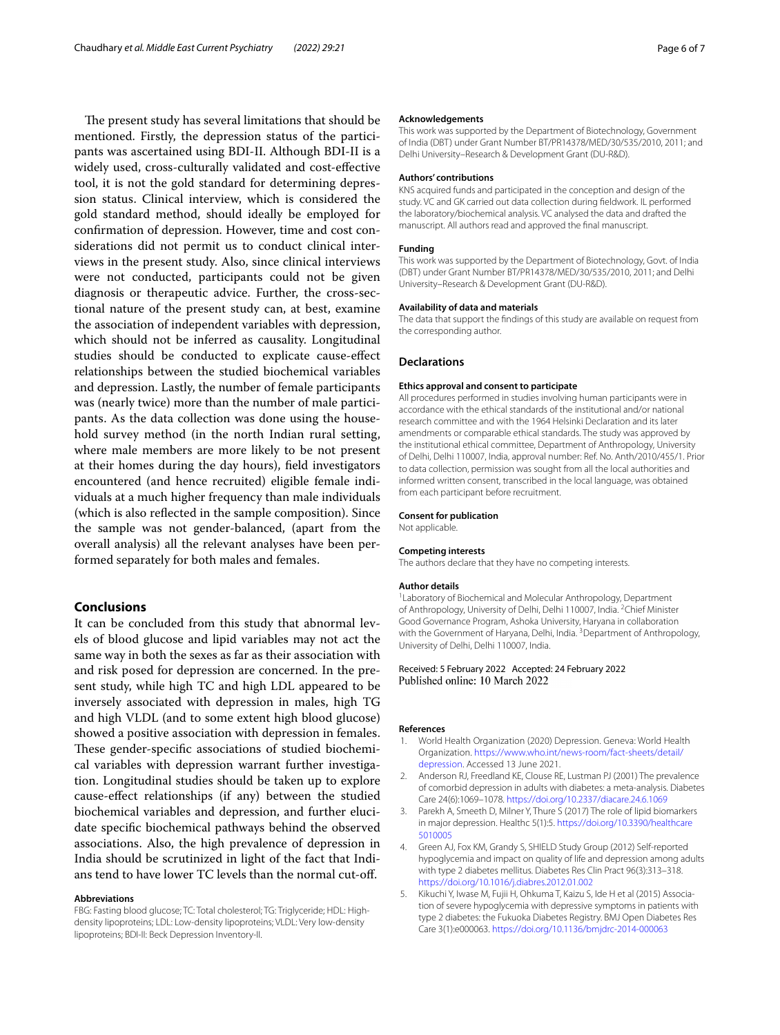The present study has several limitations that should be mentioned. Firstly, the depression status of the participants was ascertained using BDI-II. Although BDI-II is a widely used, cross-culturally validated and cost-efective tool, it is not the gold standard for determining depression status. Clinical interview, which is considered the gold standard method, should ideally be employed for confrmation of depression. However, time and cost considerations did not permit us to conduct clinical interviews in the present study. Also, since clinical interviews were not conducted, participants could not be given diagnosis or therapeutic advice. Further, the cross-sectional nature of the present study can, at best, examine the association of independent variables with depression, which should not be inferred as causality. Longitudinal studies should be conducted to explicate cause-efect relationships between the studied biochemical variables and depression. Lastly, the number of female participants was (nearly twice) more than the number of male participants. As the data collection was done using the household survey method (in the north Indian rural setting, where male members are more likely to be not present at their homes during the day hours), feld investigators encountered (and hence recruited) eligible female individuals at a much higher frequency than male individuals (which is also refected in the sample composition). Since the sample was not gender-balanced, (apart from the overall analysis) all the relevant analyses have been performed separately for both males and females.

#### **Conclusions**

It can be concluded from this study that abnormal levels of blood glucose and lipid variables may not act the same way in both the sexes as far as their association with and risk posed for depression are concerned. In the present study, while high TC and high LDL appeared to be inversely associated with depression in males, high TG and high VLDL (and to some extent high blood glucose) showed a positive association with depression in females. These gender-specific associations of studied biochemical variables with depression warrant further investigation. Longitudinal studies should be taken up to explore cause-efect relationships (if any) between the studied biochemical variables and depression, and further elucidate specifc biochemical pathways behind the observed associations. Also, the high prevalence of depression in India should be scrutinized in light of the fact that Indians tend to have lower TC levels than the normal cut-of.

#### **Abbreviations**

FBG: Fasting blood glucose; TC: Total cholesterol; TG: Triglyceride; HDL: Highdensity lipoproteins; LDL: Low-density lipoproteins; VLDL: Very low-density lipoproteins; BDI-II: Beck Depression Inventory-II.

#### **Acknowledgements**

This work was supported by the Department of Biotechnology, Government of India (DBT) under Grant Number BT/PR14378/MED/30/535/2010, 2011; and Delhi University–Research & Development Grant (DU-R&D).

#### **Authors' contributions**

KNS acquired funds and participated in the conception and design of the study. VC and GK carried out data collection during feldwork. IL performed the laboratory/biochemical analysis. VC analysed the data and drafted the manuscript. All authors read and approved the fnal manuscript.

#### **Funding**

This work was supported by the Department of Biotechnology, Govt. of India (DBT) under Grant Number BT/PR14378/MED/30/535/2010, 2011; and Delhi University–Research & Development Grant (DU-R&D).

#### **Availability of data and materials**

The data that support the fndings of this study are available on request from the corresponding author.

#### **Declarations**

#### **Ethics approval and consent to participate**

All procedures performed in studies involving human participants were in accordance with the ethical standards of the institutional and/or national research committee and with the 1964 Helsinki Declaration and its later amendments or comparable ethical standards. The study was approved by the institutional ethical committee, Department of Anthropology, University of Delhi, Delhi 110007, India, approval number: Ref. No. Anth/2010/455/1. Prior to data collection, permission was sought from all the local authorities and informed written consent, transcribed in the local language, was obtained from each participant before recruitment.

#### **Consent for publication**

Not applicable.

#### **Competing interests**

The authors declare that they have no competing interests.

#### **Author details**

<sup>1</sup> Laboratory of Biochemical and Molecular Anthropology, Department of Anthropology, University of Delhi, Delhi 110007, India. <sup>2</sup>Chief Minister Good Governance Program, Ashoka University, Haryana in collaboration with the Government of Haryana, Delhi, India. <sup>3</sup> Department of Anthropology, University of Delhi, Delhi 110007, India.

#### Received: 5 February 2022 Accepted: 24 February 2022 Published online: 10 March 2022

#### **References**

- <span id="page-5-0"></span>1. World Health Organization (2020) Depression. Geneva: World Health Organization. [https://www.who.int/news-room/fact-sheets/detail/](https://www.who.int/news-room/fact-sheets/detail/depression) [depression](https://www.who.int/news-room/fact-sheets/detail/depression). Accessed 13 June 2021.
- <span id="page-5-1"></span>2. Anderson RJ, Freedland KE, Clouse RE, Lustman PJ (2001) The prevalence of comorbid depression in adults with diabetes: a meta-analysis. Diabetes Care 24(6):1069–1078.<https://doi.org/10.2337/diacare.24.6.1069>
- <span id="page-5-2"></span>3. Parekh A, Smeeth D, Milner Y, Thure S (2017) The role of lipid biomarkers in major depression. Healthc 5(1):5. [https://doi.org/10.3390/healthcare](https://doi.org/10.3390/healthcare5010005) [5010005](https://doi.org/10.3390/healthcare5010005)
- <span id="page-5-3"></span>4. Green AJ, Fox KM, Grandy S, SHIELD Study Group (2012) Self-reported hypoglycemia and impact on quality of life and depression among adults with type 2 diabetes mellitus. Diabetes Res Clin Pract 96(3):313–318. <https://doi.org/10.1016/j.diabres.2012.01.002>
- <span id="page-5-4"></span>5. Kikuchi Y, Iwase M, Fujii H, Ohkuma T, Kaizu S, Ide H et al (2015) Association of severe hypoglycemia with depressive symptoms in patients with type 2 diabetes: the Fukuoka Diabetes Registry. BMJ Open Diabetes Res Care 3(1):e000063. <https://doi.org/10.1136/bmjdrc-2014-000063>